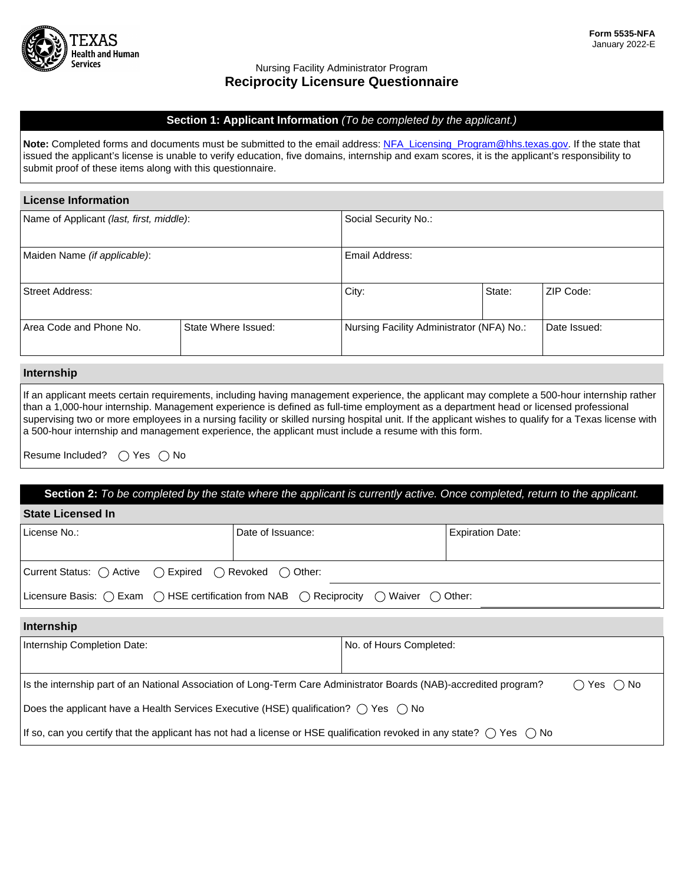

#### Nursing Facility Administrator Program **Reciprocity Licensure Questionnaire**

#### **Section 1: Applicant Information** *(To be completed by the applicant.)*

Note: Completed forms and documents must be submitted to the email address: [NFA\\_Licensing\\_Program@hhs.texas.gov.](mailto:NFA_Licensing_Program@hhs.texas.gov) If the state that issued the applicant's license is unable to verify education, five domains, internship and exam scores, it is the applicant's responsibility to submit proof of these items along with this questionnaire.

#### **License Information**

| Name of Applicant (last, first, middle): |                     | Social Security No.:                                      |        |           |
|------------------------------------------|---------------------|-----------------------------------------------------------|--------|-----------|
| Maiden Name (if applicable):             |                     | Email Address:                                            |        |           |
| Street Address:                          |                     | City:                                                     | State: | ZIP Code: |
| Area Code and Phone No.                  | State Where Issued: | Nursing Facility Administrator (NFA) No.:<br>Date Issued: |        |           |

### **Internship**

If an applicant meets certain requirements, including having management experience, the applicant may complete a 500-hour internship rather than a 1,000-hour internship. Management experience is defined as full-time employment as a department head or licensed professional supervising two or more employees in a nursing facility or skilled nursing hospital unit. If the applicant wishes to qualify for a Texas license with a 500-hour internship and management experience, the applicant must include a resume with this form.

Resume Included?  $\bigcap$  Yes  $\bigcap$  No

| Section 2: To be completed by the state where the applicant is currently active. Once completed, return to the applicant.                 |                   |                         |                         |  |  |  |
|-------------------------------------------------------------------------------------------------------------------------------------------|-------------------|-------------------------|-------------------------|--|--|--|
| <b>State Licensed In</b>                                                                                                                  |                   |                         |                         |  |  |  |
| License No.:                                                                                                                              | Date of Issuance: |                         | <b>Expiration Date:</b> |  |  |  |
|                                                                                                                                           |                   |                         |                         |  |  |  |
| Current Status: () Active () Expired () Revoked () Other:                                                                                 |                   |                         |                         |  |  |  |
| Licensure Basis: $\bigcirc$ Exam $\bigcirc$ HSE certification from NAB $\bigcirc$ Reciprocity $\bigcirc$ Waiver $\bigcirc$ Other:         |                   |                         |                         |  |  |  |
| Internship                                                                                                                                |                   |                         |                         |  |  |  |
|                                                                                                                                           |                   |                         |                         |  |  |  |
| Internship Completion Date:                                                                                                               |                   | No. of Hours Completed: |                         |  |  |  |
|                                                                                                                                           |                   |                         |                         |  |  |  |
| Is the internship part of an National Association of Long-Term Care Administrator Boards (NAB)-accredited program?<br>No.<br>Yes<br>(     |                   |                         |                         |  |  |  |
| Does the applicant have a Health Services Executive (HSE) qualification? $\bigcirc$ Yes $\bigcirc$ No                                     |                   |                         |                         |  |  |  |
| If so, can you certify that the applicant has not had a license or HSE qualification revoked in any state? $\bigcirc$ Yes<br>$($ )<br>No. |                   |                         |                         |  |  |  |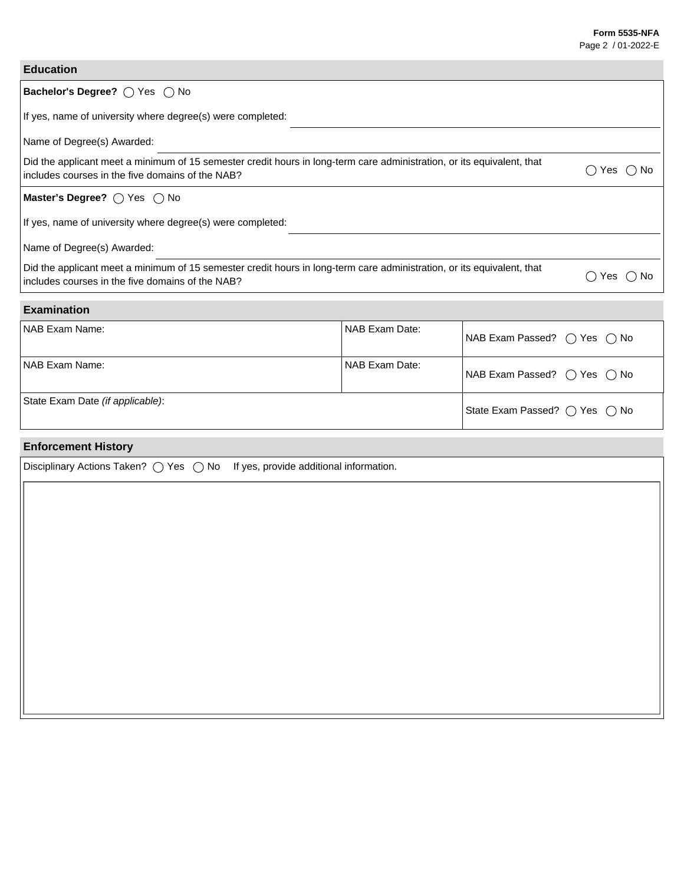NAB Exam Passed?  $\bigcirc$  Yes  $\bigcirc$  No

State Exam Passed?  $\bigcirc$  Yes  $\bigcirc$  No

## **Education**

# Bachelor's Degree?  $\bigcirc$  Yes  $\bigcirc$  No If yes, name of university where degree(s) were completed: Name of Degree(s) Awarded: Did the applicant meet a minimum of 15 semester credit hours in long-term care administration, or its equivalent, that  $\sim$  includes courses in the five domains of the NAB? **Master's Degree?**  $\bigcirc$  Yes  $\bigcirc$  No If yes, name of university where degree(s) were completed: Name of Degree(s) Awarded: Did the applicant meet a minimum of 15 semester credit hours in long-term care administration, or its equivalent, that  $\blacksquare$  includes courses in the five domains of the NAB?<br>includes courses in the five domains of the NAB? **Examination** NAB Exam Name: Name: NAB Exam Date: NAB Exam Date: NAB Exam Passed?  $\bigcirc$  Yes  $\bigcirc$  No NAB Exam Name: NAB Exam Date:

State Exam Date *(if applicable)*:

# **Enforcement History**

| Disciplinary Actions Taken? $\bigcirc$ Yes $\bigcirc$ No If yes, provide additional information. |  |
|--------------------------------------------------------------------------------------------------|--|
|                                                                                                  |  |
|                                                                                                  |  |
|                                                                                                  |  |
|                                                                                                  |  |
|                                                                                                  |  |
|                                                                                                  |  |
|                                                                                                  |  |
|                                                                                                  |  |
|                                                                                                  |  |
|                                                                                                  |  |
|                                                                                                  |  |